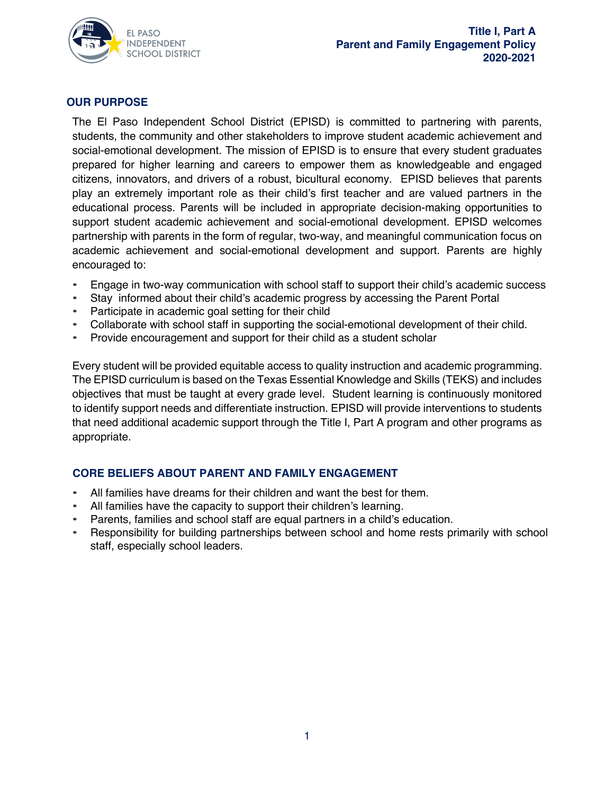

### **OUR PURPOSE**

The El Paso Independent School District (EPISD) is committed to partnering with parents, students, the community and other stakeholders to improve student academic achievement and social-emotional development. The mission of EPISD is to ensure that every student graduates prepared for higher learning and careers to empower them as knowledgeable and engaged citizens, innovators, and drivers of a robust, bicultural economy. EPISD believes that parents play an extremely important role as their child's first teacher and are valued partners in the educational process. Parents will be included in appropriate decision-making opportunities to support student academic achievement and social-emotional development. EPISD welcomes partnership with parents in the form of regular, two-way, and meaningful communication focus on academic achievement and social-emotional development and support. Parents are highly encouraged to:

- Engage in two-way communication with school staff to support their child's academic success
- Stay informed about their child's academic progress by accessing the Parent Portal
- Participate in academic goal setting for their child
- Collaborate with school staff in supporting the social-emotional development of their child.
- Provide encouragement and support for their child as a student scholar

Every student will be provided equitable access to quality instruction and academic programming. The EPISD curriculum is based on the Texas Essential Knowledge and Skills (TEKS) and includes objectives that must be taught at every grade level. Student learning is continuously monitored to identify support needs and differentiate instruction. EPISD will provide interventions to students that need additional academic support through the Title I, Part A program and other programs as appropriate.

### **CORE BELIEFS ABOUT PARENT AND FAMILY ENGAGEMENT**

- All families have dreams for their children and want the best for them.
- All families have the capacity to support their children's learning.
- Parents, families and school staff are equal partners in a child's education.
- Responsibility for building partnerships between school and home rests primarily with school staff, especially school leaders.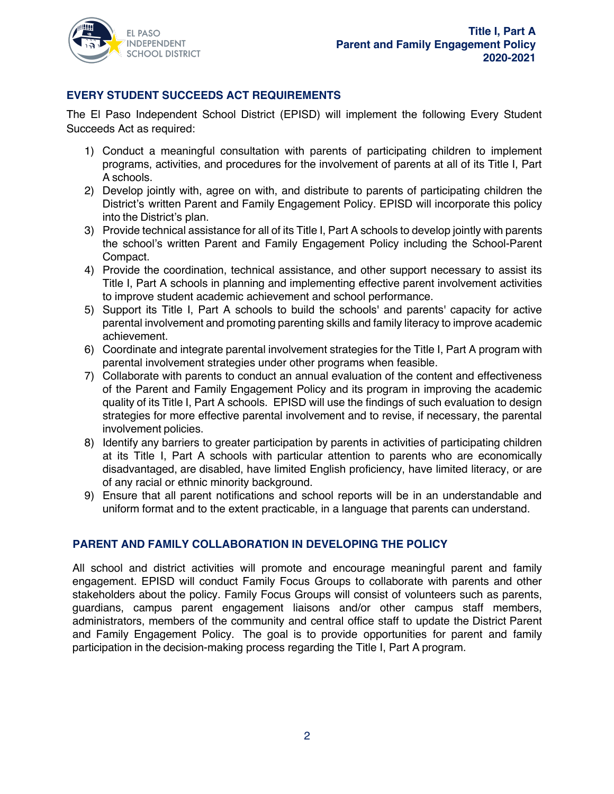

# **EVERY STUDENT SUCCEEDS ACT REQUIREMENTS**

The El Paso Independent School District (EPISD) will implement the following Every Student Succeeds Act as required:

- 1) Conduct a meaningful consultation with parents of participating children to implement programs, activities, and procedures for the involvement of parents at all of its Title I, Part A schools.
- 2) Develop jointly with, agree on with, and distribute to parents of participating children the District's written Parent and Family Engagement Policy. EPISD will incorporate this policy into the District's plan.
- 3) Provide technical assistance for all of its Title I, Part A schools to develop jointly with parents the school's written Parent and Family Engagement Policy including the School-Parent Compact.
- 4) Provide the coordination, technical assistance, and other support necessary to assist its Title I, Part A schools in planning and implementing effective parent involvement activities to improve student academic achievement and school performance.
- 5) Support its Title I, Part A schools to build the schools' and parents' capacity for active parental involvement and promoting parenting skills and family literacy to improve academic achievement.
- 6) Coordinate and integrate parental involvement strategies for the Title I, Part A program with parental involvement strategies under other programs when feasible.
- 7) Collaborate with parents to conduct an annual evaluation of the content and effectiveness of the Parent and Family Engagement Policy and its program in improving the academic quality of its Title I, Part A schools. EPISD will use the findings of such evaluation to design strategies for more effective parental involvement and to revise, if necessary, the parental involvement policies.
- 8) Identify any barriers to greater participation by parents in activities of participating children at its Title I, Part A schools with particular attention to parents who are economically disadvantaged, are disabled, have limited English proficiency, have limited literacy, or are of any racial or ethnic minority background.
- 9) Ensure that all parent notifications and school reports will be in an understandable and uniform format and to the extent practicable, in a language that parents can understand.

### **PARENT AND FAMILY COLLABORATION IN DEVELOPING THE POLICY**

All school and district activities will promote and encourage meaningful parent and family engagement. EPISD will conduct Family Focus Groups to collaborate with parents and other stakeholders about the policy. Family Focus Groups will consist of volunteers such as parents, guardians, campus parent engagement liaisons and/or other campus staff members, administrators, members of the community and central office staff to update the District Parent and Family Engagement Policy. The goal is to provide opportunities for parent and family participation in the decision-making process regarding the Title I, Part A program.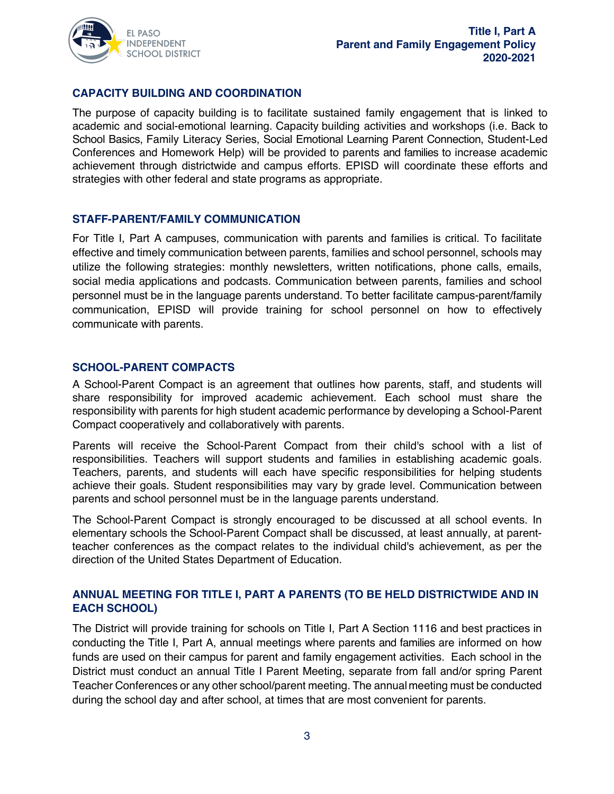

## **CAPACITY BUILDING AND COORDINATION**

The purpose of capacity building is to facilitate sustained family engagement that is linked to academic and social-emotional learning. Capacity building activities and workshops (i.e. Back to School Basics, Family Literacy Series, Social Emotional Learning Parent Connection, Student-Led Conferences and Homework Help) will be provided to parents and families to increase academic achievement through districtwide and campus efforts. EPISD will coordinate these efforts and strategies with other federal and state programs as appropriate.

#### **STAFF-PARENT/FAMILY COMMUNICATION**

For Title I, Part A campuses, communication with parents and families is critical. To facilitate effective and timely communication between parents, families and school personnel, schools may utilize the following strategies: monthly newsletters, written notifications, phone calls, emails, social media applications and podcasts. Communication between parents, families and school personnel must be in the language parents understand. To better facilitate campus-parent/family communication, EPISD will provide training for school personnel on how to effectively communicate with parents.

#### **SCHOOL-PARENT COMPACTS**

A School-Parent Compact is an agreement that outlines how parents, staff, and students will share responsibility for improved academic achievement. Each school must share the responsibility with parents for high student academic performance by developing a School-Parent Compact cooperatively and collaboratively with parents.

Parents will receive the School-Parent Compact from their child's school with a list of responsibilities. Teachers will support students and families in establishing academic goals. Teachers, parents, and students will each have specific responsibilities for helping students achieve their goals. Student responsibilities may vary by grade level. Communication between parents and school personnel must be in the language parents understand.

The School-Parent Compact is strongly encouraged to be discussed at all school events. In elementary schools the School-Parent Compact shall be discussed, at least annually, at parentteacher conferences as the compact relates to the individual child's achievement, as per the direction of the United States Department of Education.

### **ANNUAL MEETING FOR TITLE I, PART A PARENTS (TO BE HELD DISTRICTWIDE AND IN EACH SCHOOL)**

The District will provide training for schools on Title I, Part A Section 1116 and best practices in conducting the Title I, Part A, annual meetings where parents and families are informed on how funds are used on their campus for parent and family engagement activities. Each school in the District must conduct an annual Title I Parent Meeting, separate from fall and/or spring Parent Teacher Conferences or any other school/parent meeting. The annual meeting must be conducted during the school day and after school, at times that are most convenient for parents.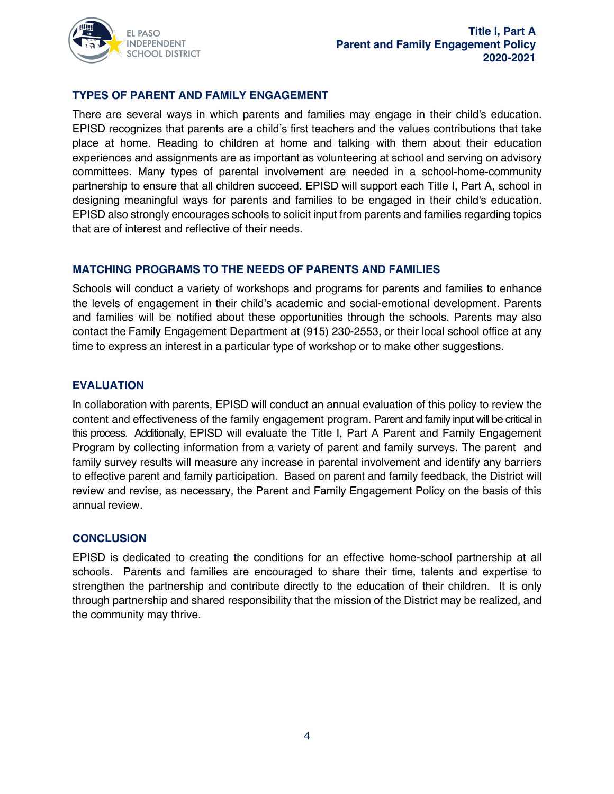

### **TYPES OF PARENT AND FAMILY ENGAGEMENT**

There are several ways in which parents and families may engage in their child's education. EPISD recognizes that parents are a child's first teachers and the values contributions that take place at home. Reading to children at home and talking with them about their education experiences and assignments are as important as volunteering at school and serving on advisory committees. Many types of parental involvement are needed in a school-home-community partnership to ensure that all children succeed. EPISD will support each Title I, Part A, school in designing meaningful ways for parents and families to be engaged in their child's education. EPISD also strongly encourages schools to solicit input from parents and families regarding topics that are of interest and reflective of their needs.

### **MATCHING PROGRAMS TO THE NEEDS OF PARENTS AND FAMILIES**

Schools will conduct a variety of workshops and programs for parents and families to enhance the levels of engagement in their child's academic and social-emotional development. Parents and families will be notified about these opportunities through the schools. Parents may also contact the Family Engagement Department at (915) 230-2553, or their local school office at any time to express an interest in a particular type of workshop or to make other suggestions.

### **EVALUATION**

In collaboration with parents, EPISD will conduct an annual evaluation of this policy to review the content and effectiveness of the family engagement program. Parent and family input will be critical in this process. Additionally, EPISD will evaluate the Title I, Part A Parent and Family Engagement Program by collecting information from a variety of parent and family surveys. The parent and family survey results will measure any increase in parental involvement and identify any barriers to effective parent and family participation. Based on parent and family feedback, the District will review and revise, as necessary, the Parent and Family Engagement Policy on the basis of this annual review.

### **CONCLUSION**

EPISD is dedicated to creating the conditions for an effective home-school partnership at all schools. Parents and families are encouraged to share their time, talents and expertise to strengthen the partnership and contribute directly to the education of their children. It is only through partnership and shared responsibility that the mission of the District may be realized, and the community may thrive.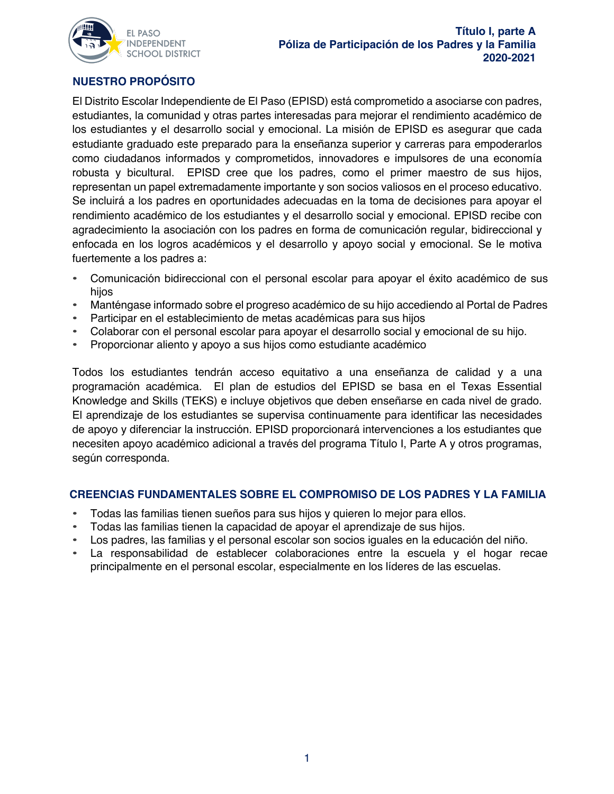

# **NUESTRO PROPÓSITO**

El Distrito Escolar Independiente de El Paso (EPISD) está comprometido a asociarse con padres, estudiantes, la comunidad y otras partes interesadas para mejorar el rendimiento académico de los estudiantes y el desarrollo social y emocional. La misión de EPISD es asegurar que cada estudiante graduado este preparado para la enseñanza superior y carreras para empoderarlos como ciudadanos informados y comprometidos, innovadores e impulsores de una economía robusta y bicultural. EPISD cree que los padres, como el primer maestro de sus hijos, representan un papel extremadamente importante y son socios valiosos en el proceso educativo. Se incluirá a los padres en oportunidades adecuadas en la toma de decisiones para apoyar el rendimiento académico de los estudiantes y el desarrollo social y emocional. EPISD recibe con agradecimiento la asociación con los padres en forma de comunicación regular, bidireccional y enfocada en los logros académicos y el desarrollo y apoyo social y emocional. Se le motiva fuertemente a los padres a:

- Comunicación bidireccional con el personal escolar para apoyar el éxito académico de sus hijos
- Manténgase informado sobre el progreso académico de su hijo accediendo al Portal de Padres
- Participar en el establecimiento de metas académicas para sus hijos
- Colaborar con el personal escolar para apoyar el desarrollo social y emocional de su hijo.
- Proporcionar aliento y apoyo a sus hijos como estudiante académico

Todos los estudiantes tendrán acceso equitativo a una enseñanza de calidad y a una programación académica. El plan de estudios del EPISD se basa en el Texas Essential Knowledge and Skills (TEKS) e incluye objetivos que deben enseñarse en cada nivel de grado. El aprendizaje de los estudiantes se supervisa continuamente para identificar las necesidades de apoyo y diferenciar la instrucción. EPISD proporcionará intervenciones a los estudiantes que necesiten apoyo académico adicional a través del programa Título I, Parte A y otros programas, según corresponda.

### **CREENCIAS FUNDAMENTALES SOBRE EL COMPROMISO DE LOS PADRES Y LA FAMILIA**

- Todas las familias tienen sueños para sus hijos y quieren lo mejor para ellos.
- Todas las familias tienen la capacidad de apoyar el aprendizaje de sus hijos.
- Los padres, las familias y el personal escolar son socios iguales en la educación del niño.
- La responsabilidad de establecer colaboraciones entre la escuela y el hogar recae principalmente en el personal escolar, especialmente en los líderes de las escuelas.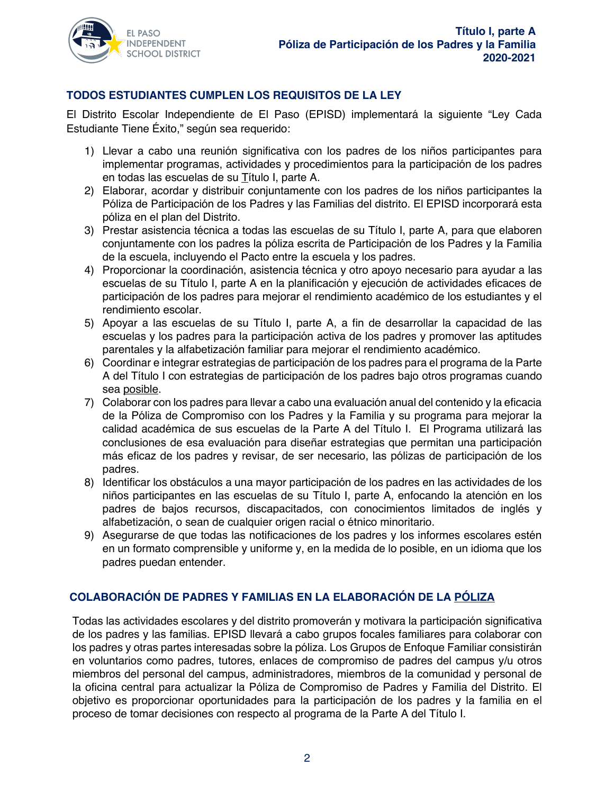

# **TODOS ESTUDIANTES CUMPLEN LOS REQUISITOS DE LA LEY**

El Distrito Escolar Independiente de El Paso (EPISD) implementará la siguiente "Ley Cada Estudiante Tiene Éxito," según sea requerido:

- 1) Llevar a cabo una reunión significativa con los padres de los niños participantes para implementar programas, actividades y procedimientos para la participación de los padres en todas las escuelas de su Título I, parte A.
- 2) Elaborar, acordar y distribuir conjuntamente con los padres de los niños participantes la Póliza de Participación de los Padres y las Familias del distrito. El EPISD incorporará esta póliza en el plan del Distrito.
- 3) Prestar asistencia técnica a todas las escuelas de su Título I, parte A, para que elaboren conjuntamente con los padres la póliza escrita de Participación de los Padres y la Familia de la escuela, incluyendo el Pacto entre la escuela y los padres.
- 4) Proporcionar la coordinación, asistencia técnica y otro apoyo necesario para ayudar a las escuelas de su Título I, parte A en la planificación y ejecución de actividades eficaces de participación de los padres para mejorar el rendimiento académico de los estudiantes y el rendimiento escolar.
- 5) Apoyar a las escuelas de su Título I, parte A, a fin de desarrollar la capacidad de las escuelas y los padres para la participación activa de los padres y promover las aptitudes parentales y la alfabetización familiar para mejorar el rendimiento académico.
- 6) Coordinar e integrar estrategias de participación de los padres para el programa de la Parte A del Título I con estrategias de participación de los padres bajo otros programas cuando sea posible.
- 7) Colaborar con los padres para llevar a cabo una evaluación anual del contenido y la eficacia de la Póliza de Compromiso con los Padres y la Familia y su programa para mejorar la calidad académica de sus escuelas de la Parte A del Título I. El Programa utilizará las conclusiones de esa evaluación para diseñar estrategias que permitan una participación más eficaz de los padres y revisar, de ser necesario, las pólizas de participación de los padres.
- 8) Identificar los obstáculos a una mayor participación de los padres en las actividades de los niños participantes en las escuelas de su Título I, parte A, enfocando la atención en los padres de bajos recursos, discapacitados, con conocimientos limitados de inglés y alfabetización, o sean de cualquier origen racial o étnico minoritario.
- 9) Asegurarse de que todas las notificaciones de los padres y los informes escolares estén en un formato comprensible y uniforme y, en la medida de lo posible, en un idioma que los padres puedan entender.

# **COLABORACIÓN DE PADRES Y FAMILIAS EN LA ELABORACIÓN DE LA PÓLIZA**

Todas las actividades escolares y del distrito promoverán y motivara la participación significativa de los padres y las familias. EPISD llevará a cabo grupos focales familiares para colaborar con los padres y otras partes interesadas sobre la póliza. Los Grupos de Enfoque Familiar consistirán en voluntarios como padres, tutores, enlaces de compromiso de padres del campus y/u otros miembros del personal del campus, administradores, miembros de la comunidad y personal de la oficina central para actualizar la Póliza de Compromiso de Padres y Familia del Distrito. El objetivo es proporcionar oportunidades para la participación de los padres y la familia en el proceso de tomar decisiones con respecto al programa de la Parte A del Título I.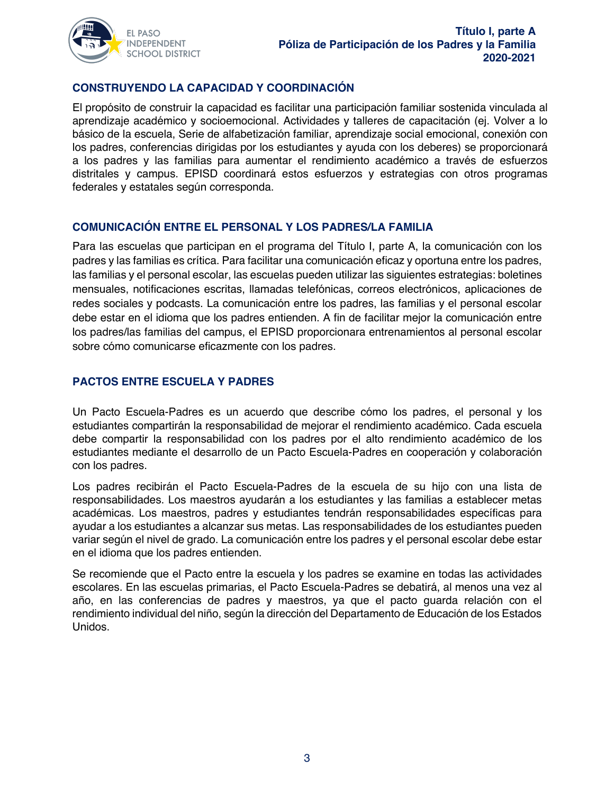

# **CONSTRUYENDO LA CAPACIDAD Y COORDINACIÓN**

El propósito de construir la capacidad es facilitar una participación familiar sostenida vinculada al aprendizaje académico y socioemocional. Actividades y talleres de capacitación (ej. Volver a lo básico de la escuela, Serie de alfabetización familiar, aprendizaje social emocional, conexión con los padres, conferencias dirigidas por los estudiantes y ayuda con los deberes) se proporcionará a los padres y las familias para aumentar el rendimiento académico a través de esfuerzos distritales y campus. EPISD coordinará estos esfuerzos y estrategias con otros programas federales y estatales según corresponda.

### **COMUNICACIÓN ENTRE EL PERSONAL Y LOS PADRES/LA FAMILIA**

Para las escuelas que participan en el programa del Título I, parte A, la comunicación con los padres y las familias es crítica. Para facilitar una comunicación eficaz y oportuna entre los padres, las familias y el personal escolar, las escuelas pueden utilizar las siguientes estrategias: boletines mensuales, notificaciones escritas, llamadas telefónicas, correos electrónicos, aplicaciones de redes sociales y podcasts. La comunicación entre los padres, las familias y el personal escolar debe estar en el idioma que los padres entienden. A fin de facilitar mejor la comunicación entre los padres/las familias del campus, el EPISD proporcionara entrenamientos al personal escolar sobre cómo comunicarse eficazmente con los padres.

### **PACTOS ENTRE ESCUELA Y PADRES**

Un Pacto Escuela-Padres es un acuerdo que describe cómo los padres, el personal y los estudiantes compartirán la responsabilidad de mejorar el rendimiento académico. Cada escuela debe compartir la responsabilidad con los padres por el alto rendimiento académico de los estudiantes mediante el desarrollo de un Pacto Escuela-Padres en cooperación y colaboración con los padres.

Los padres recibirán el Pacto Escuela-Padres de la escuela de su hijo con una lista de responsabilidades. Los maestros ayudarán a los estudiantes y las familias a establecer metas académicas. Los maestros, padres y estudiantes tendrán responsabilidades específicas para ayudar a los estudiantes a alcanzar sus metas. Las responsabilidades de los estudiantes pueden variar según el nivel de grado. La comunicación entre los padres y el personal escolar debe estar en el idioma que los padres entienden.

Se recomiende que el Pacto entre la escuela y los padres se examine en todas las actividades escolares. En las escuelas primarias, el Pacto Escuela-Padres se debatirá, al menos una vez al año, en las conferencias de padres y maestros, ya que el pacto guarda relación con el rendimiento individual del niño, según la dirección del Departamento de Educación de los Estados Unidos.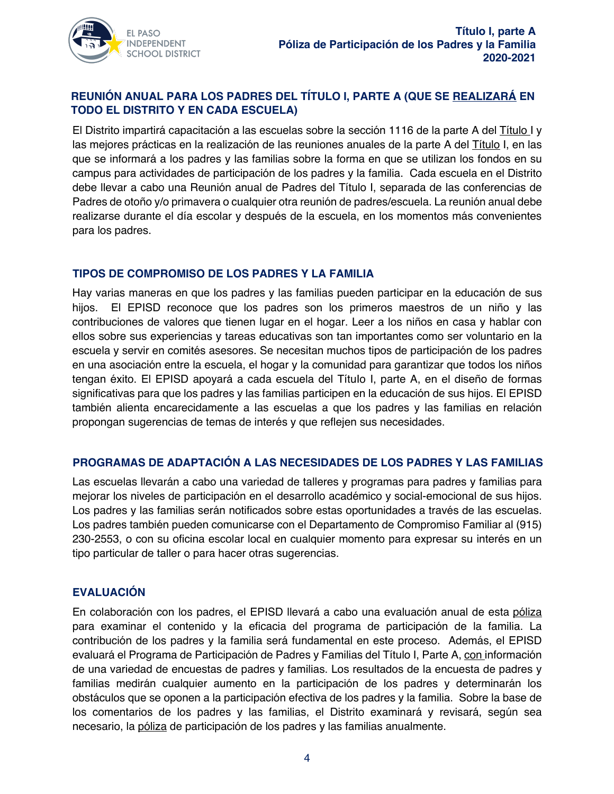

# **REUNIÓN ANUAL PARA LOS PADRES DEL TÍTULO I, PARTE A (QUE SE REALIZARÁ EN TODO EL DISTRITO Y EN CADA ESCUELA)**

El Distrito impartirá capacitación a las escuelas sobre la sección 1116 de la parte A del Título I y las mejores prácticas en la realización de las reuniones anuales de la parte A del Título I, en las que se informará a los padres y las familias sobre la forma en que se utilizan los fondos en su campus para actividades de participación de los padres y la familia. Cada escuela en el Distrito debe llevar a cabo una Reunión anual de Padres del Título I, separada de las conferencias de Padres de otoño y/o primavera o cualquier otra reunión de padres/escuela. La reunión anual debe realizarse durante el día escolar y después de la escuela, en los momentos más convenientes para los padres.

### **TIPOS DE COMPROMISO DE LOS PADRES Y LA FAMILIA**

Hay varias maneras en que los padres y las familias pueden participar en la educación de sus hijos. El EPISD reconoce que los padres son los primeros maestros de un niño y las contribuciones de valores que tienen lugar en el hogar. Leer a los niños en casa y hablar con ellos sobre sus experiencias y tareas educativas son tan importantes como ser voluntario en la escuela y servir en comités asesores. Se necesitan muchos tipos de participación de los padres en una asociación entre la escuela, el hogar y la comunidad para garantizar que todos los niños tengan éxito. El EPISD apoyará a cada escuela del TítuIo I, parte A, en el diseño de formas significativas para que los padres y las familias participen en la educación de sus hijos. El EPISD también alienta encarecidamente a las escuelas a que los padres y las familias en relación propongan sugerencias de temas de interés y que reflejen sus necesidades.

### **PROGRAMAS DE ADAPTACIÓN A LAS NECESIDADES DE LOS PADRES Y LAS FAMILIAS**

Las escuelas llevarán a cabo una variedad de talleres y programas para padres y familias para mejorar los niveles de participación en el desarrollo académico y social-emocional de sus hijos. Los padres y las familias serán notificados sobre estas oportunidades a través de las escuelas. Los padres también pueden comunicarse con el Departamento de Compromiso Familiar al (915) 230-2553, o con su oficina escolar local en cualquier momento para expresar su interés en un tipo particular de taller o para hacer otras sugerencias.

# **EVALUACIÓN**

En colaboración con los padres, el EPISD llevará a cabo una evaluación anual de esta póliza para examinar el contenido y la eficacia del programa de participación de la familia. La contribución de los padres y la familia será fundamental en este proceso. Además, el EPISD evaluará el Programa de Participación de Padres y Familias del Título I, Parte A, con información de una variedad de encuestas de padres y familias. Los resultados de la encuesta de padres y familias medirán cualquier aumento en la participación de los padres y determinarán los obstáculos que se oponen a la participación efectiva de los padres y la familia. Sobre la base de los comentarios de los padres y las familias, el Distrito examinará y revisará, según sea necesario, la póliza de participación de los padres y las familias anualmente.